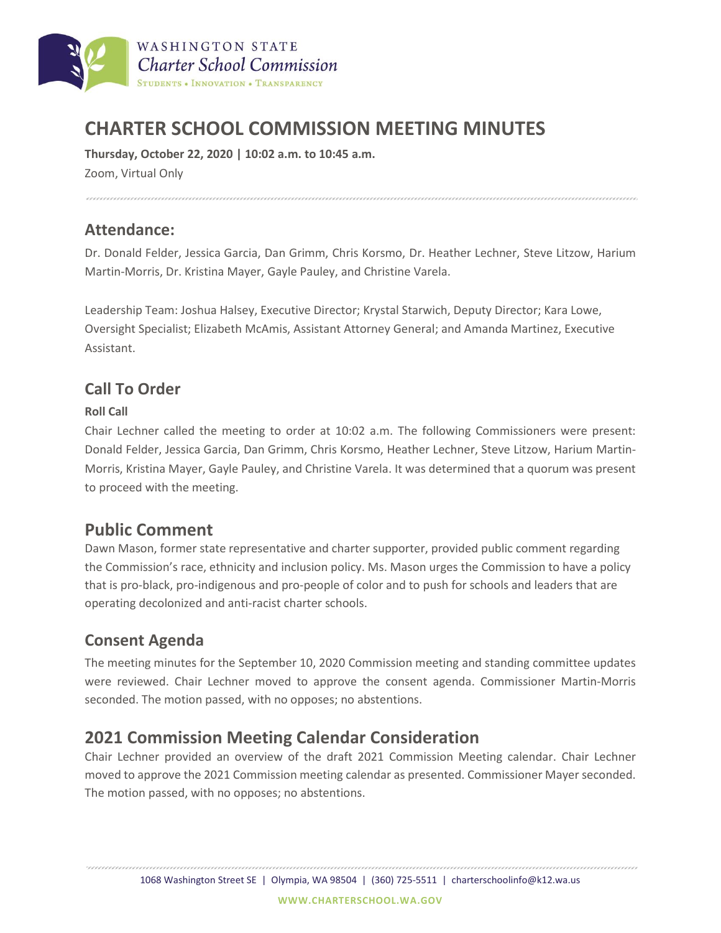

# **CHARTER SCHOOL COMMISSION MEETING MINUTES**

**Thursday, October 22, 2020 | 10:02 a.m. to 10:45 a.m.**

Zoom, Virtual Only

#### **Attendance:**

Dr. Donald Felder, Jessica Garcia, Dan Grimm, Chris Korsmo, Dr. Heather Lechner, Steve Litzow, Harium Martin-Morris, Dr. Kristina Mayer, Gayle Pauley, and Christine Varela.

Leadership Team: Joshua Halsey, Executive Director; Krystal Starwich, Deputy Director; Kara Lowe, Oversight Specialist; Elizabeth McAmis, Assistant Attorney General; and Amanda Martinez, Executive Assistant.

### **Call To Order**

#### **Roll Call**

Chair Lechner called the meeting to order at 10:02 a.m. The following Commissioners were present: Donald Felder, Jessica Garcia, Dan Grimm, Chris Korsmo, Heather Lechner, Steve Litzow, Harium Martin-Morris, Kristina Mayer, Gayle Pauley, and Christine Varela. It was determined that a quorum was present to proceed with the meeting.

## **Public Comment**

Dawn Mason, former state representative and charter supporter, provided public comment regarding the Commission's race, ethnicity and inclusion policy. Ms. Mason urges the Commission to have a policy that is pro-black, pro-indigenous and pro-people of color and to push for schools and leaders that are operating decolonized and anti-racist charter schools.

#### **Consent Agenda**

The meeting minutes for the September 10, 2020 Commission meeting and standing committee updates were reviewed. Chair Lechner moved to approve the consent agenda. Commissioner Martin-Morris seconded. The motion passed, with no opposes; no abstentions.

## **2021 Commission Meeting Calendar Consideration**

Chair Lechner provided an overview of the draft 2021 Commission Meeting calendar. Chair Lechner moved to approve the 2021 Commission meeting calendar as presented. Commissioner Mayer seconded. The motion passed, with no opposes; no abstentions.